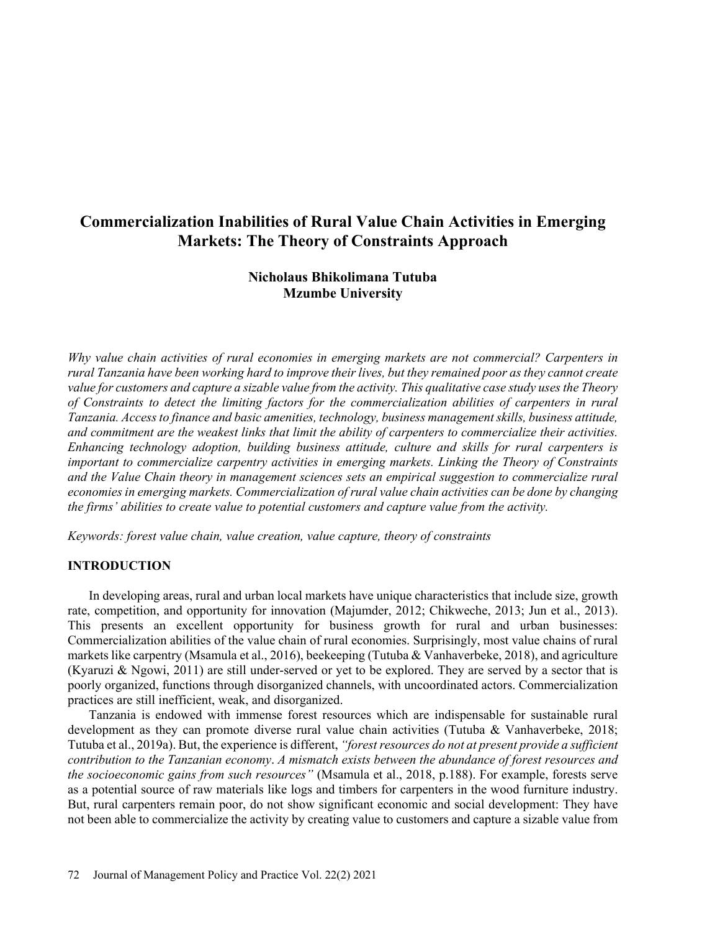# **Commercialization Inabilities of Rural Value Chain Activities in Emerging Markets: The Theory of Constraints Approach**

# **Nicholaus Bhikolimana Tutuba Mzumbe University**

*Why value chain activities of rural economies in emerging markets are not commercial? Carpenters in rural Tanzania have been working hard to improve their lives, but they remained poor as they cannot create value for customers and capture a sizable value from the activity. This qualitative case study uses the Theory of Constraints to detect the limiting factors for the commercialization abilities of carpenters in rural Tanzania. Access to finance and basic amenities, technology, business management skills, business attitude, and commitment are the weakest links that limit the ability of carpenters to commercialize their activities. Enhancing technology adoption, building business attitude, culture and skills for rural carpenters is important to commercialize carpentry activities in emerging markets. Linking the Theory of Constraints and the Value Chain theory in management sciences sets an empirical suggestion to commercialize rural economies in emerging markets. Commercialization of rural value chain activities can be done by changing the firms' abilities to create value to potential customers and capture value from the activity.*

*Keywords: forest value chain, value creation, value capture, theory of constraints*

## **INTRODUCTION**

In developing areas, rural and urban local markets have unique characteristics that include size, growth rate, competition, and opportunity for innovation (Majumder, 2012; Chikweche, 2013; Jun et al., 2013). This presents an excellent opportunity for business growth for rural and urban businesses: Commercialization abilities of the value chain of rural economies. Surprisingly, most value chains of rural markets like carpentry (Msamula et al., 2016), beekeeping (Tutuba & Vanhaverbeke, 2018), and agriculture (Kyaruzi & Ngowi, 2011) are still under-served or yet to be explored. They are served by a sector that is poorly organized, functions through disorganized channels, with uncoordinated actors. Commercialization practices are still inefficient, weak, and disorganized.

Tanzania is endowed with immense forest resources which are indispensable for sustainable rural development as they can promote diverse rural value chain activities (Tutuba & Vanhaverbeke, 2018; Tutuba et al., 2019a). But, the experience is different, *"forest resources do not at present provide a sufficient contribution to the Tanzanian economy*. *A mismatch exists between the abundance of forest resources and the socioeconomic gains from such resources"* (Msamula et al., 2018, p.188). For example, forests serve as a potential source of raw materials like logs and timbers for carpenters in the wood furniture industry. But, rural carpenters remain poor, do not show significant economic and social development: They have not been able to commercialize the activity by creating value to customers and capture a sizable value from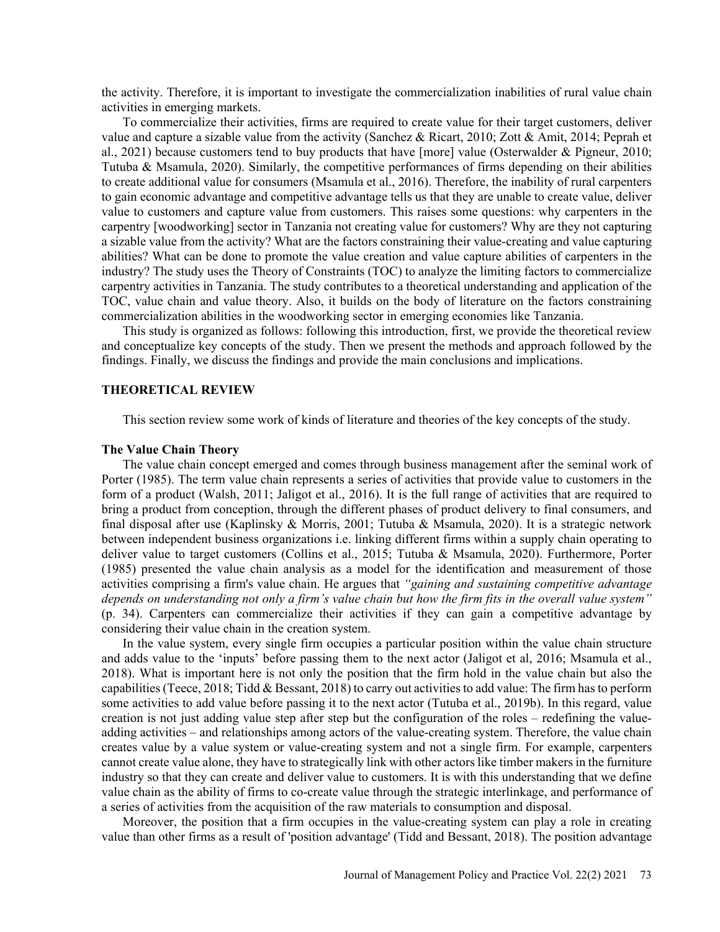the activity. Therefore, it is important to investigate the commercialization inabilities of rural value chain activities in emerging markets.

To commercialize their activities, firms are required to create value for their target customers, deliver value and capture a sizable value from the activity (Sanchez & Ricart, 2010; Zott & Amit, 2014; Peprah et al., 2021) because customers tend to buy products that have [more] value (Osterwalder & Pigneur, 2010; Tutuba & Msamula, 2020). Similarly, the competitive performances of firms depending on their abilities to create additional value for consumers (Msamula et al., 2016). Therefore, the inability of rural carpenters to gain economic advantage and competitive advantage tells us that they are unable to create value, deliver value to customers and capture value from customers. This raises some questions: why carpenters in the carpentry [woodworking] sector in Tanzania not creating value for customers? Why are they not capturing a sizable value from the activity? What are the factors constraining their value-creating and value capturing abilities? What can be done to promote the value creation and value capture abilities of carpenters in the industry? The study uses the Theory of Constraints (TOC) to analyze the limiting factors to commercialize carpentry activities in Tanzania. The study contributes to a theoretical understanding and application of the TOC, value chain and value theory. Also, it builds on the body of literature on the factors constraining commercialization abilities in the woodworking sector in emerging economies like Tanzania.

This study is organized as follows: following this introduction, first, we provide the theoretical review and conceptualize key concepts of the study. Then we present the methods and approach followed by the findings. Finally, we discuss the findings and provide the main conclusions and implications.

#### **THEORETICAL REVIEW**

This section review some work of kinds of literature and theories of the key concepts of the study.

#### **The Value Chain Theory**

The value chain concept emerged and comes through business management after the seminal work of Porter (1985). The term value chain represents a series of activities that provide value to customers in the form of a product (Walsh, 2011; Jaligot et al., 2016). It is the full range of activities that are required to bring a product from conception, through the different phases of product delivery to final consumers, and final disposal after use (Kaplinsky & Morris, 2001; Tutuba & Msamula, 2020). It is a strategic network between independent business organizations i.e. linking different firms within a supply chain operating to deliver value to target customers (Collins et al., 2015; Tutuba & Msamula, 2020). Furthermore, Porter (1985) presented the value chain analysis as a model for the identification and measurement of those activities comprising a firm's value chain. He argues that *"gaining and sustaining competitive advantage depends on understanding not only a firm's value chain but how the firm fits in the overall value system"* (p. 34). Carpenters can commercialize their activities if they can gain a competitive advantage by considering their value chain in the creation system.

In the value system, every single firm occupies a particular position within the value chain structure and adds value to the 'inputs' before passing them to the next actor (Jaligot et al, 2016; Msamula et al., 2018). What is important here is not only the position that the firm hold in the value chain but also the capabilities (Teece, 2018; Tidd & Bessant, 2018) to carry out activities to add value: The firm has to perform some activities to add value before passing it to the next actor (Tutuba et al., 2019b). In this regard, value creation is not just adding value step after step but the configuration of the roles – redefining the valueadding activities – and relationships among actors of the value-creating system. Therefore, the value chain creates value by a value system or value-creating system and not a single firm. For example, carpenters cannot create value alone, they have to strategically link with other actors like timber makers in the furniture industry so that they can create and deliver value to customers. It is with this understanding that we define value chain as the ability of firms to co-create value through the strategic interlinkage, and performance of a series of activities from the acquisition of the raw materials to consumption and disposal.

Moreover, the position that a firm occupies in the value-creating system can play a role in creating value than other firms as a result of 'position advantage' (Tidd and Bessant, 2018). The position advantage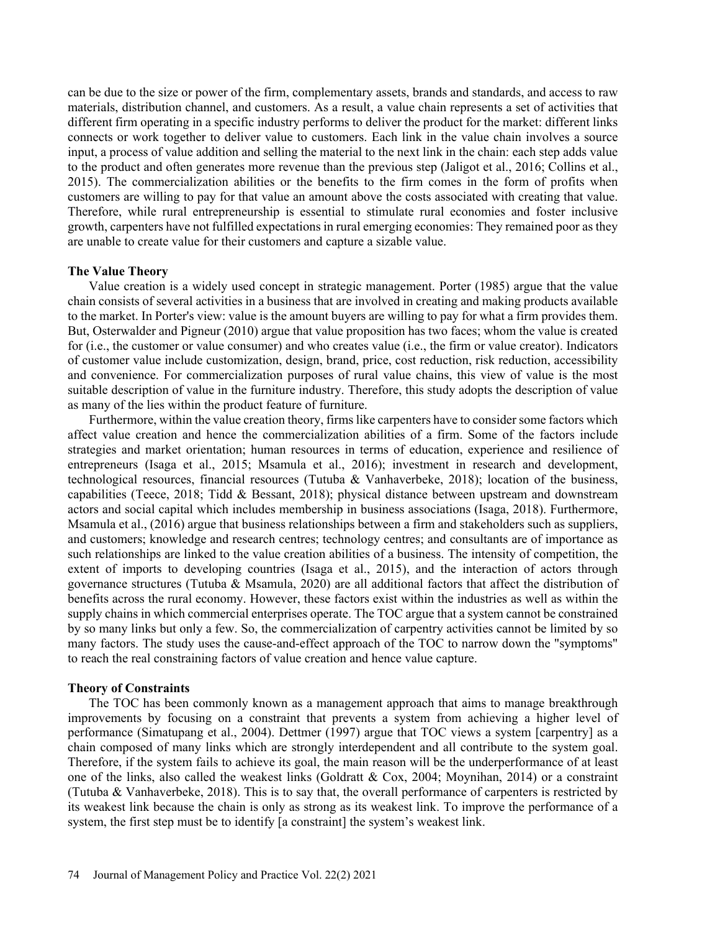can be due to the size or power of the firm, complementary assets, brands and standards, and access to raw materials, distribution channel, and customers. As a result, a value chain represents a set of activities that different firm operating in a specific industry performs to deliver the product for the market: different links connects or work together to deliver value to customers. Each link in the value chain involves a source input, a process of value addition and selling the material to the next link in the chain: each step adds value to the product and often generates more revenue than the previous step (Jaligot et al., 2016; Collins et al., 2015). The commercialization abilities or the benefits to the firm comes in the form of profits when customers are willing to pay for that value an amount above the costs associated with creating that value. Therefore, while rural entrepreneurship is essential to stimulate rural economies and foster inclusive growth, carpenters have not fulfilled expectations in rural emerging economies: They remained poor as they are unable to create value for their customers and capture a sizable value.

#### **The Value Theory**

Value creation is a widely used concept in strategic management. Porter (1985) argue that the value chain consists of several activities in a business that are involved in creating and making products available to the market. In Porter's view: value is the amount buyers are willing to pay for what a firm provides them. But, Osterwalder and Pigneur (2010) argue that value proposition has two faces; whom the value is created for (i.e., the customer or value consumer) and who creates value (i.e., the firm or value creator). Indicators of customer value include customization, design, brand, price, cost reduction, risk reduction, accessibility and convenience. For commercialization purposes of rural value chains, this view of value is the most suitable description of value in the furniture industry. Therefore, this study adopts the description of value as many of the lies within the product feature of furniture.

Furthermore, within the value creation theory, firms like carpenters have to consider some factors which affect value creation and hence the commercialization abilities of a firm. Some of the factors include strategies and market orientation; human resources in terms of education, experience and resilience of entrepreneurs (Isaga et al., 2015; Msamula et al., 2016); investment in research and development, technological resources, financial resources (Tutuba & Vanhaverbeke, 2018); location of the business, capabilities (Teece, 2018; Tidd & Bessant, 2018); physical distance between upstream and downstream actors and social capital which includes membership in business associations (Isaga, 2018). Furthermore, Msamula et al., (2016) argue that business relationships between a firm and stakeholders such as suppliers, and customers; knowledge and research centres; technology centres; and consultants are of importance as such relationships are linked to the value creation abilities of a business. The intensity of competition, the extent of imports to developing countries (Isaga et al., 2015), and the interaction of actors through governance structures (Tutuba & Msamula, 2020) are all additional factors that affect the distribution of benefits across the rural economy. However, these factors exist within the industries as well as within the supply chains in which commercial enterprises operate. The TOC argue that a system cannot be constrained by so many links but only a few. So, the commercialization of carpentry activities cannot be limited by so many factors. The study uses the cause-and-effect approach of the TOC to narrow down the "symptoms" to reach the real constraining factors of value creation and hence value capture.

#### **Theory of Constraints**

The TOC has been commonly known as a management approach that aims to manage breakthrough improvements by focusing on a constraint that prevents a system from achieving a higher level of performance (Simatupang et al., 2004). Dettmer (1997) argue that TOC views a system [carpentry] as a chain composed of many links which are strongly interdependent and all contribute to the system goal. Therefore, if the system fails to achieve its goal, the main reason will be the underperformance of at least one of the links, also called the weakest links (Goldratt & Cox, 2004; Moynihan, 2014) or a constraint (Tutuba & Vanhaverbeke, 2018). This is to say that, the overall performance of carpenters is restricted by its weakest link because the chain is only as strong as its weakest link. To improve the performance of a system, the first step must be to identify [a constraint] the system's weakest link.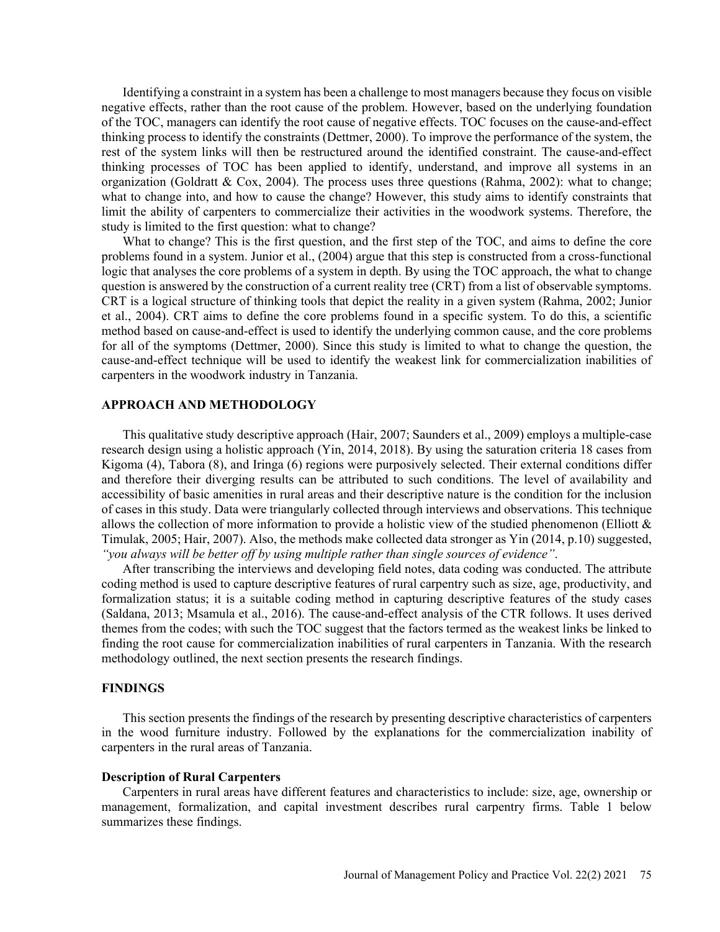Identifying a constraint in a system has been a challenge to most managers because they focus on visible negative effects, rather than the root cause of the problem. However, based on the underlying foundation of the TOC, managers can identify the root cause of negative effects. TOC focuses on the cause-and-effect thinking process to identify the constraints (Dettmer, 2000). To improve the performance of the system, the rest of the system links will then be restructured around the identified constraint. The cause-and-effect thinking processes of TOC has been applied to identify, understand, and improve all systems in an organization (Goldratt & Cox, 2004). The process uses three questions (Rahma, 2002): what to change; what to change into, and how to cause the change? However, this study aims to identify constraints that limit the ability of carpenters to commercialize their activities in the woodwork systems. Therefore, the study is limited to the first question: what to change?

What to change? This is the first question, and the first step of the TOC, and aims to define the core problems found in a system. Junior et al., (2004) argue that this step is constructed from a cross-functional logic that analyses the core problems of a system in depth. By using the TOC approach, the what to change question is answered by the construction of a current reality tree (CRT) from a list of observable symptoms. CRT is a logical structure of thinking tools that depict the reality in a given system (Rahma, 2002; Junior et al., 2004). CRT aims to define the core problems found in a specific system. To do this, a scientific method based on cause-and-effect is used to identify the underlying common cause, and the core problems for all of the symptoms (Dettmer, 2000). Since this study is limited to what to change the question, the cause-and-effect technique will be used to identify the weakest link for commercialization inabilities of carpenters in the woodwork industry in Tanzania.

#### **APPROACH AND METHODOLOGY**

This qualitative study descriptive approach (Hair, 2007; Saunders et al., 2009) employs a multiple-case research design using a holistic approach (Yin, 2014, 2018). By using the saturation criteria 18 cases from Kigoma (4), Tabora (8), and Iringa (6) regions were purposively selected. Their external conditions differ and therefore their diverging results can be attributed to such conditions. The level of availability and accessibility of basic amenities in rural areas and their descriptive nature is the condition for the inclusion of cases in this study. Data were triangularly collected through interviews and observations. This technique allows the collection of more information to provide a holistic view of the studied phenomenon (Elliott & Timulak, 2005; Hair, 2007). Also, the methods make collected data stronger as Yin (2014, p.10) suggested, *"you always will be better off by using multiple rather than single sources of evidence"*.

After transcribing the interviews and developing field notes, data coding was conducted. The attribute coding method is used to capture descriptive features of rural carpentry such as size, age, productivity, and formalization status; it is a suitable coding method in capturing descriptive features of the study cases (Saldana, 2013; Msamula et al., 2016). The cause-and-effect analysis of the CTR follows. It uses derived themes from the codes; with such the TOC suggest that the factors termed as the weakest links be linked to finding the root cause for commercialization inabilities of rural carpenters in Tanzania. With the research methodology outlined, the next section presents the research findings.

#### **FINDINGS**

This section presents the findings of the research by presenting descriptive characteristics of carpenters in the wood furniture industry. Followed by the explanations for the commercialization inability of carpenters in the rural areas of Tanzania.

#### **Description of Rural Carpenters**

Carpenters in rural areas have different features and characteristics to include: size, age, ownership or management, formalization, and capital investment describes rural carpentry firms. Table 1 below summarizes these findings.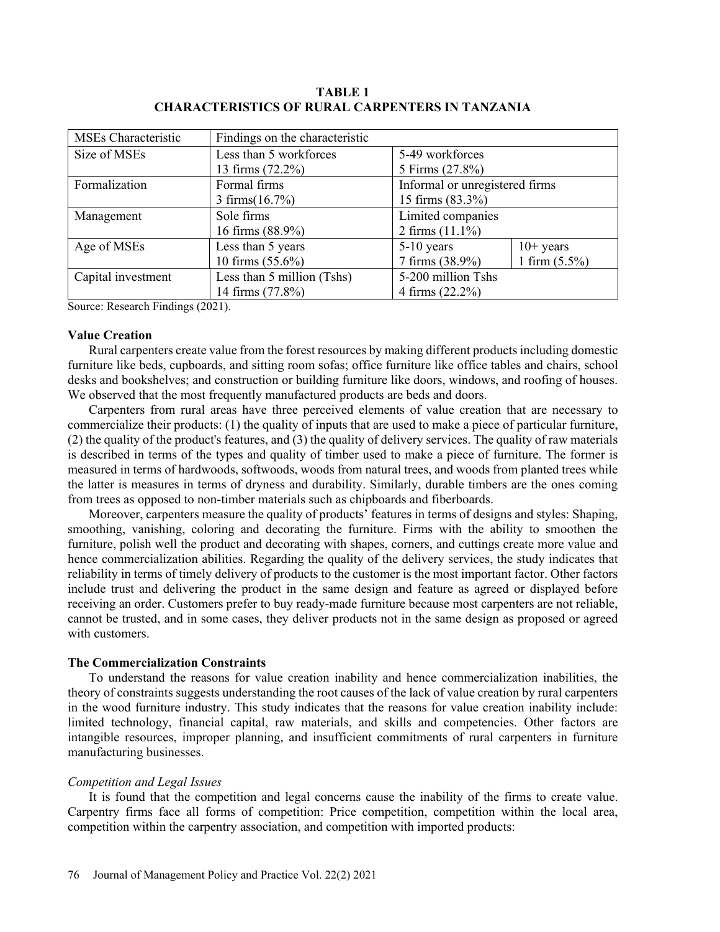| MSEs Characteristic | Findings on the characteristic |                                |                  |
|---------------------|--------------------------------|--------------------------------|------------------|
| Size of MSEs        | Less than 5 workforces         | 5-49 workforces                |                  |
|                     | 13 firms (72.2%)               | 5 Firms (27.8%)                |                  |
| Formalization       | Formal firms                   | Informal or unregistered firms |                  |
|                     | 3 firms $(16.7\%)$             | 15 firms (83.3%)               |                  |
| Management          | Sole firms                     | Limited companies              |                  |
|                     | 16 firms (88.9%)               | 2 firms $(11.1\%)$             |                  |
| Age of MSEs         | Less than 5 years              | $5-10$ years                   | $10+$ years      |
|                     | 10 firms (55.6%)               | 7 firms (38.9%)                | 1 firm $(5.5\%)$ |
| Capital investment  | Less than 5 million (Tshs)     | 5-200 million Tshs             |                  |
|                     | 14 firms (77.8%)               | 4 firms $(22.2\%)$             |                  |

**TABLE 1 CHARACTERISTICS OF RURAL CARPENTERS IN TANZANIA**

Source: Research Findings (2021).

#### **Value Creation**

Rural carpenters create value from the forest resources by making different products including domestic furniture like beds, cupboards, and sitting room sofas; office furniture like office tables and chairs, school desks and bookshelves; and construction or building furniture like doors, windows, and roofing of houses. We observed that the most frequently manufactured products are beds and doors.

Carpenters from rural areas have three perceived elements of value creation that are necessary to commercialize their products: (1) the quality of inputs that are used to make a piece of particular furniture, (2) the quality of the product's features, and (3) the quality of delivery services. The quality of raw materials is described in terms of the types and quality of timber used to make a piece of furniture. The former is measured in terms of hardwoods, softwoods, woods from natural trees, and woods from planted trees while the latter is measures in terms of dryness and durability. Similarly, durable timbers are the ones coming from trees as opposed to non-timber materials such as chipboards and fiberboards.

Moreover, carpenters measure the quality of products' features in terms of designs and styles: Shaping, smoothing, vanishing, coloring and decorating the furniture. Firms with the ability to smoothen the furniture, polish well the product and decorating with shapes, corners, and cuttings create more value and hence commercialization abilities. Regarding the quality of the delivery services, the study indicates that reliability in terms of timely delivery of products to the customer is the most important factor. Other factors include trust and delivering the product in the same design and feature as agreed or displayed before receiving an order. Customers prefer to buy ready-made furniture because most carpenters are not reliable, cannot be trusted, and in some cases, they deliver products not in the same design as proposed or agreed with customers.

#### **The Commercialization Constraints**

To understand the reasons for value creation inability and hence commercialization inabilities, the theory of constraints suggests understanding the root causes of the lack of value creation by rural carpenters in the wood furniture industry. This study indicates that the reasons for value creation inability include: limited technology, financial capital, raw materials, and skills and competencies. Other factors are intangible resources, improper planning, and insufficient commitments of rural carpenters in furniture manufacturing businesses.

#### *Competition and Legal Issues*

It is found that the competition and legal concerns cause the inability of the firms to create value. Carpentry firms face all forms of competition: Price competition, competition within the local area, competition within the carpentry association, and competition with imported products: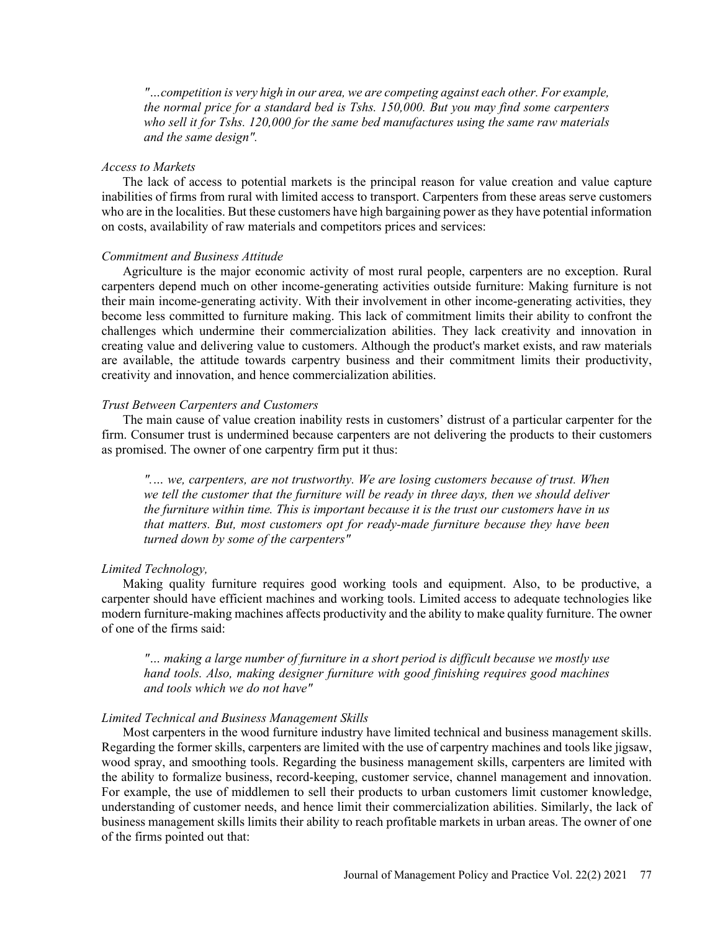*"…competition is very high in our area, we are competing against each other. For example, the normal price for a standard bed is Tshs. 150,000. But you may find some carpenters who sell it for Tshs. 120,000 for the same bed manufactures using the same raw materials and the same design".*

#### *Access to Markets*

The lack of access to potential markets is the principal reason for value creation and value capture inabilities of firms from rural with limited access to transport. Carpenters from these areas serve customers who are in the localities. But these customers have high bargaining power as they have potential information on costs, availability of raw materials and competitors prices and services:

#### *Commitment and Business Attitude*

Agriculture is the major economic activity of most rural people, carpenters are no exception. Rural carpenters depend much on other income-generating activities outside furniture: Making furniture is not their main income-generating activity. With their involvement in other income-generating activities, they become less committed to furniture making. This lack of commitment limits their ability to confront the challenges which undermine their commercialization abilities. They lack creativity and innovation in creating value and delivering value to customers. Although the product's market exists, and raw materials are available, the attitude towards carpentry business and their commitment limits their productivity, creativity and innovation, and hence commercialization abilities.

#### *Trust Between Carpenters and Customers*

The main cause of value creation inability rests in customers' distrust of a particular carpenter for the firm. Consumer trust is undermined because carpenters are not delivering the products to their customers as promised. The owner of one carpentry firm put it thus:

*".… we, carpenters, are not trustworthy. We are losing customers because of trust. When we tell the customer that the furniture will be ready in three days, then we should deliver the furniture within time. This is important because it is the trust our customers have in us that matters. But, most customers opt for ready-made furniture because they have been turned down by some of the carpenters"*

#### *Limited Technology,*

Making quality furniture requires good working tools and equipment. Also, to be productive, a carpenter should have efficient machines and working tools. Limited access to adequate technologies like modern furniture-making machines affects productivity and the ability to make quality furniture. The owner of one of the firms said:

*"… making a large number of furniture in a short period is difficult because we mostly use hand tools. Also, making designer furniture with good finishing requires good machines and tools which we do not have"*

#### *Limited Technical and Business Management Skills*

Most carpenters in the wood furniture industry have limited technical and business management skills. Regarding the former skills, carpenters are limited with the use of carpentry machines and tools like jigsaw, wood spray, and smoothing tools. Regarding the business management skills, carpenters are limited with the ability to formalize business, record-keeping, customer service, channel management and innovation. For example, the use of middlemen to sell their products to urban customers limit customer knowledge, understanding of customer needs, and hence limit their commercialization abilities. Similarly, the lack of business management skills limits their ability to reach profitable markets in urban areas. The owner of one of the firms pointed out that: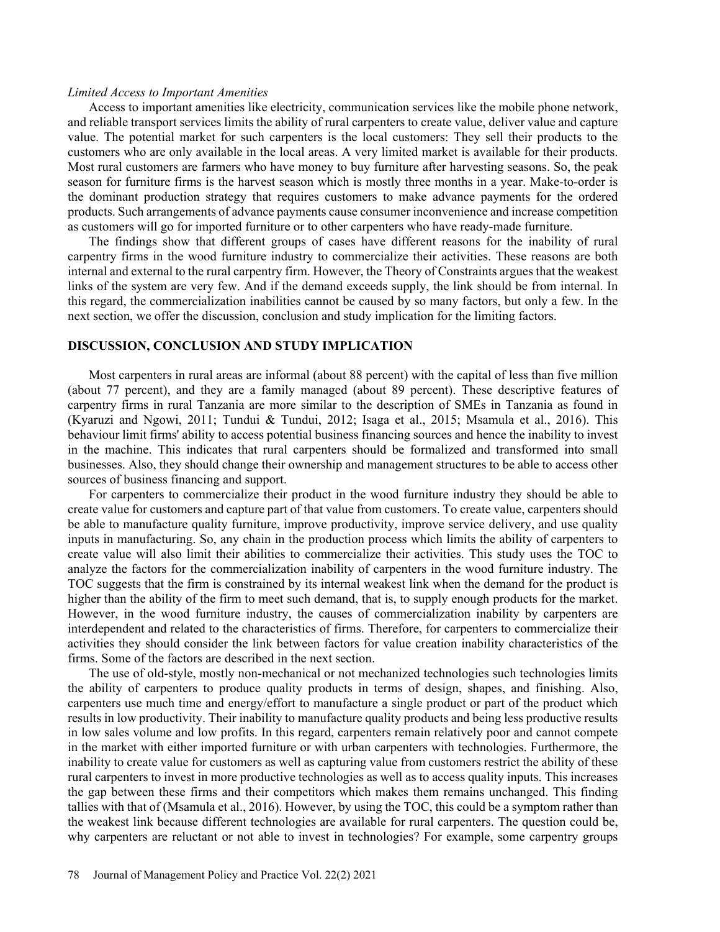#### *Limited Access to Important Amenities*

Access to important amenities like electricity, communication services like the mobile phone network, and reliable transport services limits the ability of rural carpenters to create value, deliver value and capture value. The potential market for such carpenters is the local customers: They sell their products to the customers who are only available in the local areas. A very limited market is available for their products. Most rural customers are farmers who have money to buy furniture after harvesting seasons. So, the peak season for furniture firms is the harvest season which is mostly three months in a year. Make-to-order is the dominant production strategy that requires customers to make advance payments for the ordered products. Such arrangements of advance payments cause consumer inconvenience and increase competition as customers will go for imported furniture or to other carpenters who have ready-made furniture.

The findings show that different groups of cases have different reasons for the inability of rural carpentry firms in the wood furniture industry to commercialize their activities. These reasons are both internal and external to the rural carpentry firm. However, the Theory of Constraints argues that the weakest links of the system are very few. And if the demand exceeds supply, the link should be from internal. In this regard, the commercialization inabilities cannot be caused by so many factors, but only a few. In the next section, we offer the discussion, conclusion and study implication for the limiting factors.

#### **DISCUSSION, CONCLUSION AND STUDY IMPLICATION**

Most carpenters in rural areas are informal (about 88 percent) with the capital of less than five million (about 77 percent), and they are a family managed (about 89 percent). These descriptive features of carpentry firms in rural Tanzania are more similar to the description of SMEs in Tanzania as found in (Kyaruzi and Ngowi, 2011; Tundui & Tundui, 2012; Isaga et al., 2015; Msamula et al., 2016). This behaviour limit firms' ability to access potential business financing sources and hence the inability to invest in the machine. This indicates that rural carpenters should be formalized and transformed into small businesses. Also, they should change their ownership and management structures to be able to access other sources of business financing and support.

For carpenters to commercialize their product in the wood furniture industry they should be able to create value for customers and capture part of that value from customers. To create value, carpenters should be able to manufacture quality furniture, improve productivity, improve service delivery, and use quality inputs in manufacturing. So, any chain in the production process which limits the ability of carpenters to create value will also limit their abilities to commercialize their activities. This study uses the TOC to analyze the factors for the commercialization inability of carpenters in the wood furniture industry. The TOC suggests that the firm is constrained by its internal weakest link when the demand for the product is higher than the ability of the firm to meet such demand, that is, to supply enough products for the market. However, in the wood furniture industry, the causes of commercialization inability by carpenters are interdependent and related to the characteristics of firms. Therefore, for carpenters to commercialize their activities they should consider the link between factors for value creation inability characteristics of the firms. Some of the factors are described in the next section.

The use of old-style, mostly non-mechanical or not mechanized technologies such technologies limits the ability of carpenters to produce quality products in terms of design, shapes, and finishing. Also, carpenters use much time and energy/effort to manufacture a single product or part of the product which results in low productivity. Their inability to manufacture quality products and being less productive results in low sales volume and low profits. In this regard, carpenters remain relatively poor and cannot compete in the market with either imported furniture or with urban carpenters with technologies. Furthermore, the inability to create value for customers as well as capturing value from customers restrict the ability of these rural carpenters to invest in more productive technologies as well as to access quality inputs. This increases the gap between these firms and their competitors which makes them remains unchanged. This finding tallies with that of (Msamula et al., 2016). However, by using the TOC, this could be a symptom rather than the weakest link because different technologies are available for rural carpenters. The question could be, why carpenters are reluctant or not able to invest in technologies? For example, some carpentry groups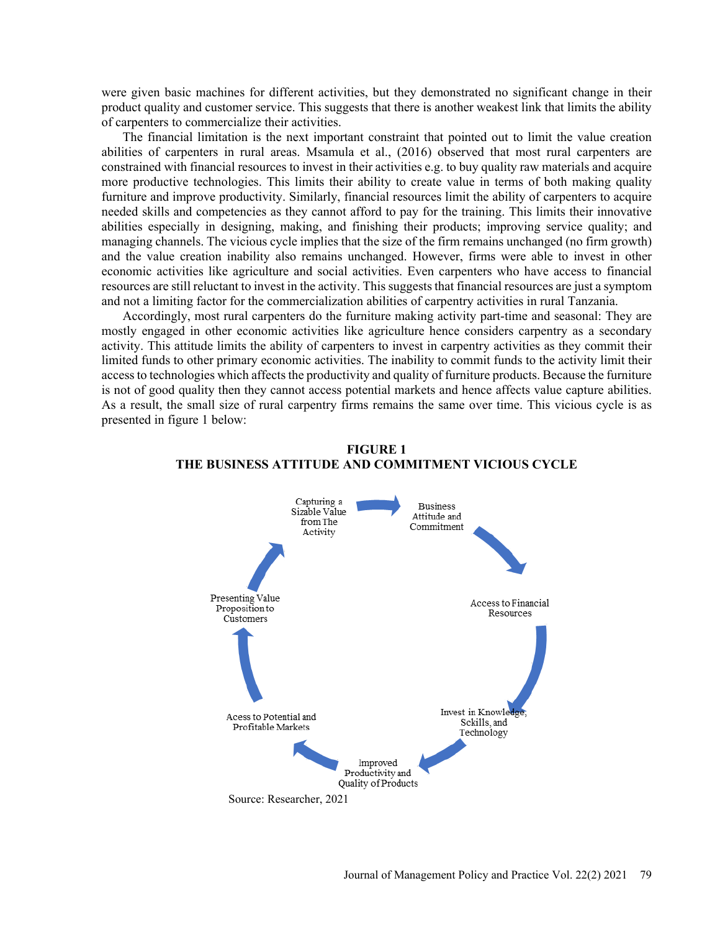were given basic machines for different activities, but they demonstrated no significant change in their product quality and customer service. This suggests that there is another weakest link that limits the ability of carpenters to commercialize their activities.

The financial limitation is the next important constraint that pointed out to limit the value creation abilities of carpenters in rural areas. Msamula et al., (2016) observed that most rural carpenters are constrained with financial resources to invest in their activities e.g. to buy quality raw materials and acquire more productive technologies. This limits their ability to create value in terms of both making quality furniture and improve productivity. Similarly, financial resources limit the ability of carpenters to acquire needed skills and competencies as they cannot afford to pay for the training. This limits their innovative abilities especially in designing, making, and finishing their products; improving service quality; and managing channels. The vicious cycle implies that the size of the firm remains unchanged (no firm growth) and the value creation inability also remains unchanged. However, firms were able to invest in other economic activities like agriculture and social activities. Even carpenters who have access to financial resources are still reluctant to invest in the activity. This suggests that financial resources are just a symptom and not a limiting factor for the commercialization abilities of carpentry activities in rural Tanzania.

Accordingly, most rural carpenters do the furniture making activity part-time and seasonal: They are mostly engaged in other economic activities like agriculture hence considers carpentry as a secondary activity. This attitude limits the ability of carpenters to invest in carpentry activities as they commit their limited funds to other primary economic activities. The inability to commit funds to the activity limit their access to technologies which affects the productivity and quality of furniture products. Because the furniture is not of good quality then they cannot access potential markets and hence affects value capture abilities. As a result, the small size of rural carpentry firms remains the same over time. This vicious cycle is as presented in figure 1 below:



**FIGURE 1 THE BUSINESS ATTITUDE AND COMMITMENT VICIOUS CYCLE**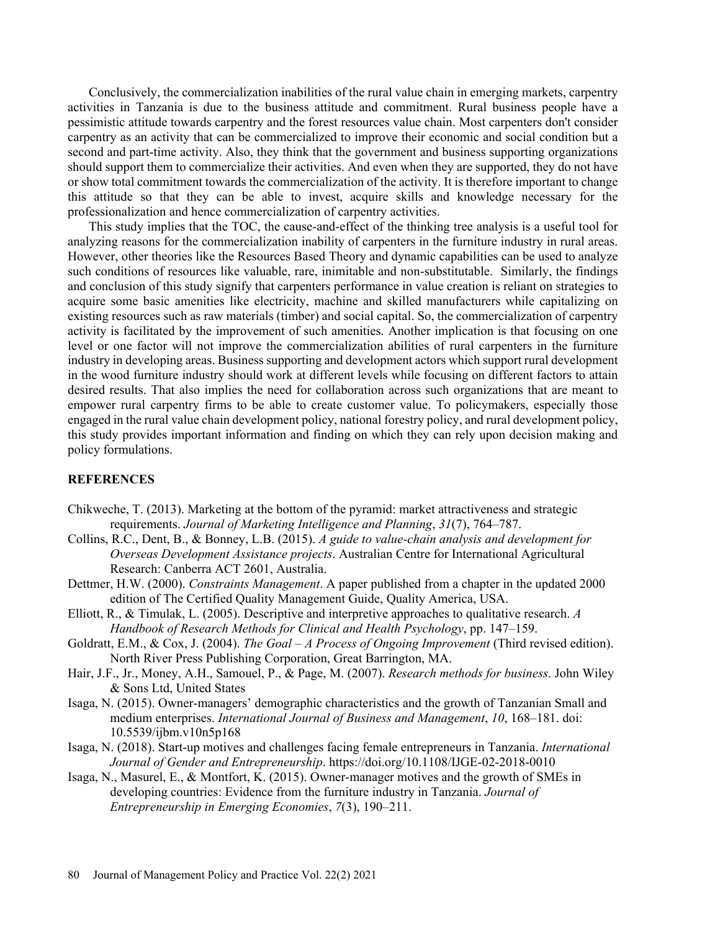Conclusively, the commercialization inabilities of the rural value chain in emerging markets, carpentry activities in Tanzania is due to the business attitude and commitment. Rural business people have a pessimistic attitude towards carpentry and the forest resources value chain. Most carpenters don't consider carpentry as an activity that can be commercialized to improve their economic and social condition but a second and part-time activity. Also, they think that the government and business supporting organizations should support them to commercialize their activities. And even when they are supported, they do not have or show total commitment towards the commercialization of the activity. It is therefore important to change this attitude so that they can be able to invest, acquire skills and knowledge necessary for the professionalization and hence commercialization of carpentry activities.

This study implies that the TOC, the cause-and-effect of the thinking tree analysis is a useful tool for analyzing reasons for the commercialization inability of carpenters in the furniture industry in rural areas. However, other theories like the Resources Based Theory and dynamic capabilities can be used to analyze such conditions of resources like valuable, rare, inimitable and non-substitutable. Similarly, the findings and conclusion of this study signify that carpenters performance in value creation is reliant on strategies to acquire some basic amenities like electricity, machine and skilled manufacturers while capitalizing on existing resources such as raw materials (timber) and social capital. So, the commercialization of carpentry activity is facilitated by the improvement of such amenities. Another implication is that focusing on one level or one factor will not improve the commercialization abilities of rural carpenters in the furniture industry in developing areas. Business supporting and development actors which support rural development in the wood furniture industry should work at different levels while focusing on different factors to attain desired results. That also implies the need for collaboration across such organizations that are meant to empower rural carpentry firms to be able to create customer value. To policymakers, especially those engaged in the rural value chain development policy, national forestry policy, and rural development policy, this study provides important information and finding on which they can rely upon decision making and policy formulations.

### **REFERENCES**

- Chikweche, T. (2013). Marketing at the bottom of the pyramid: market attractiveness and strategic requirements. *Journal of Marketing Intelligence and Planning*, *31*(7), 764–787.
- Collins, R.C., Dent, B., & Bonney, L.B. (2015). *A guide to value-chain analysis and development for Overseas Development Assistance projects*. Australian Centre for International Agricultural Research: Canberra ACT 2601, Australia.
- Dettmer, H.W. (2000). *Constraints Management*. A paper published from a chapter in the updated 2000 edition of The Certified Quality Management Guide, Quality America, USA.
- Elliott, R., & Timulak, L. (2005). Descriptive and interpretive approaches to qualitative research. *A Handbook of Research Methods for Clinical and Health Psychology*, pp. 147–159.
- Goldratt, E.M., & Cox, J. (2004). *The Goal – A Process of Ongoing Improvement* (Third revised edition). North River Press Publishing Corporation, Great Barrington, MA.
- Hair, J.F., Jr., Money, A.H., Samouel, P., & Page, M. (2007). *Research methods for business*. John Wiley & Sons Ltd, United States
- Isaga, N. (2015). Owner-managers' demographic characteristics and the growth of Tanzanian Small and medium enterprises. *International Journal of Business and Management*, *10*, 168–181. doi: 10.5539/ijbm.v10n5p168
- Isaga, N. (2018). Start-up motives and challenges facing female entrepreneurs in Tanzania. *International Journal of Gender and Entrepreneurship*. https://doi.org/10.1108/IJGE-02-2018-0010
- Isaga, N., Masurel, E., & Montfort, K. (2015). Owner-manager motives and the growth of SMEs in developing countries: Evidence from the furniture industry in Tanzania. *Journal of Entrepreneurship in Emerging Economies*, *7*(3), 190–211.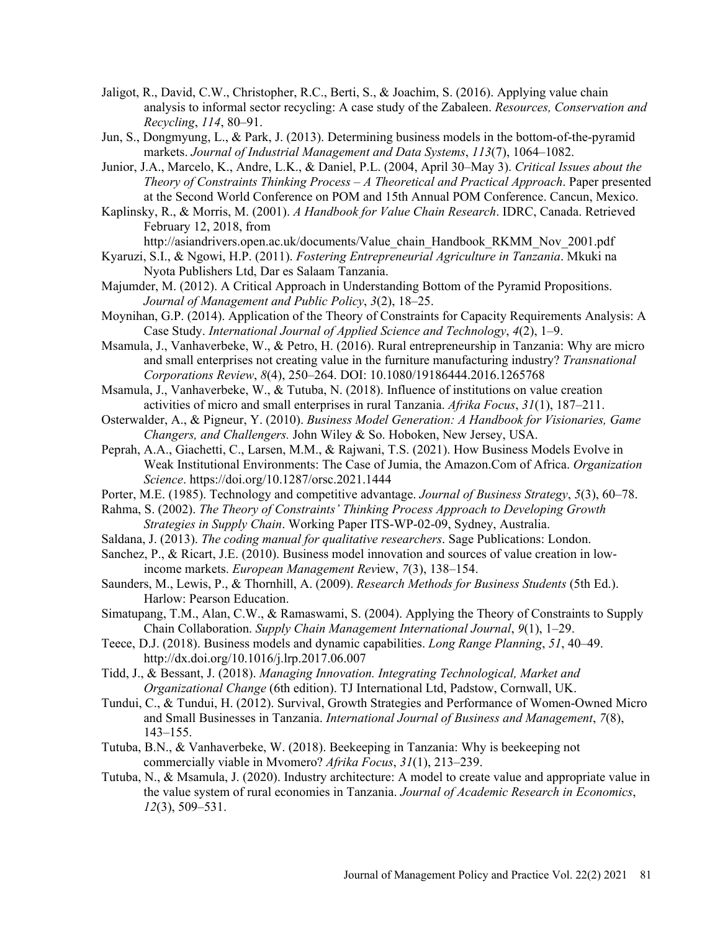- Jaligot, R., David, C.W., Christopher, R.C., Berti, S., & Joachim, S. (2016). Applying value chain analysis to informal sector recycling: A case study of the Zabaleen. *Resources, Conservation and Recycling*, *114*, 80–91.
- Jun, S., Dongmyung, L., & Park, J. (2013). Determining business models in the bottom-of-the-pyramid markets. *Journal of Industrial Management and Data Systems*, *113*(7), 1064–1082.
- Junior, J.A., Marcelo, K., Andre, L.K., & Daniel, P.L. (2004, April 30–May 3). *Critical Issues about the Theory of Constraints Thinking Process – A Theoretical and Practical Approach*. Paper presented at the Second World Conference on POM and 15th Annual POM Conference. Cancun, Mexico.
- Kaplinsky, R., & Morris, M. (2001). *A Handbook for Value Chain Research*. IDRC, Canada. Retrieved February 12, 2018, from

http://asiandrivers.open.ac.uk/documents/Value chain Handbook RKMM Nov 2001.pdf

- Kyaruzi, S.I., & Ngowi, H.P. (2011). *Fostering Entrepreneurial Agriculture in Tanzania*. Mkuki na Nyota Publishers Ltd, Dar es Salaam Tanzania.
- Majumder, M. (2012). A Critical Approach in Understanding Bottom of the Pyramid Propositions. *Journal of Management and Public Policy*, *3*(2), 18–25.
- Moynihan, G.P. (2014). Application of the Theory of Constraints for Capacity Requirements Analysis: A Case Study. *International Journal of Applied Science and Technology*, *4*(2), 1–9.
- Msamula, J., Vanhaverbeke, W., & Petro, H. (2016). Rural entrepreneurship in Tanzania: Why are micro and small enterprises not creating value in the furniture manufacturing industry? *Transnational Corporations Review*, *8*(4), 250–264. DOI: 10.1080/19186444.2016.1265768
- Msamula, J., Vanhaverbeke, W., & Tutuba, N. (2018). Influence of institutions on value creation activities of micro and small enterprises in rural Tanzania. *Afrika Focus*, *31*(1), 187–211.
- Osterwalder, A., & Pigneur, Y. (2010). *Business Model Generation: A Handbook for Visionaries, Game Changers, and Challengers.* John Wiley & So. Hoboken, New Jersey, USA.
- Peprah, A.A., Giachetti, C., Larsen, M.M., & Rajwani, T.S. (2021). How Business Models Evolve in Weak Institutional Environments: The Case of Jumia, the Amazon.Com of Africa. *Organization Science*. https://doi.org/10.1287/orsc.2021.1444
- Porter, M.E. (1985). Technology and competitive advantage. *Journal of Business Strategy*, *5*(3), 60–78.
- Rahma, S. (2002). *The Theory of Constraints' Thinking Process Approach to Developing Growth Strategies in Supply Chain*. Working Paper ITS-WP-02-09, Sydney, Australia.
- Saldana, J. (2013). *The coding manual for qualitative researchers*. Sage Publications: London.
- Sanchez, P., & Ricart, J.E. (2010). Business model innovation and sources of value creation in lowincome markets. *European Management Rev*iew, *7*(3), 138–154.
- Saunders, M., Lewis, P., & Thornhill, A. (2009). *Research Methods for Business Students* (5th Ed.). Harlow: Pearson Education.
- Simatupang, T.M., Alan, C.W., & Ramaswami, S. (2004). Applying the Theory of Constraints to Supply Chain Collaboration. *Supply Chain Management International Journal*, *9*(1), 1–29.
- Teece, D.J. (2018). Business models and dynamic capabilities. *Long Range Planning*, *51*, 40–49. http://dx.doi.org/10.1016/j.lrp.2017.06.007
- Tidd, J., & Bessant, J. (2018). *Managing Innovation. Integrating Technological, Market and Organizational Change* (6th edition). TJ International Ltd, Padstow, Cornwall, UK.
- Tundui, C., & Tundui, H. (2012). Survival, Growth Strategies and Performance of Women-Owned Micro and Small Businesses in Tanzania. *International Journal of Business and Management*, *7*(8), 143–155.
- Tutuba, B.N., & Vanhaverbeke, W. (2018). Beekeeping in Tanzania: Why is beekeeping not commercially viable in Mvomero? *Afrika Focus*, *31*(1), 213–239.
- Tutuba, N., & Msamula, J. (2020). Industry architecture: A model to create value and appropriate value in the value system of rural economies in Tanzania. *Journal of Academic Research in Economics*, *12*(3), 509–531.